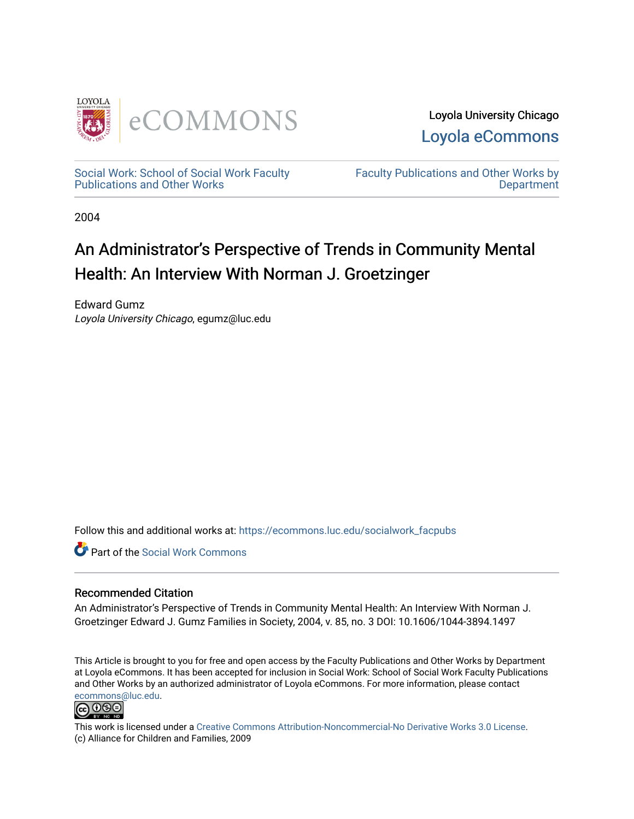

Loyola University Chicago [Loyola eCommons](https://ecommons.luc.edu/) 

[Social Work: School of Social Work Faculty](https://ecommons.luc.edu/socialwork_facpubs)  [Publications and Other Works](https://ecommons.luc.edu/socialwork_facpubs) 

[Faculty Publications and Other Works by](https://ecommons.luc.edu/faculty)  **Department** 

2004

## An Administrator's Perspective of Trends in Community Mental Health: An Interview With Norman J. Groetzinger

Edward Gumz Loyola University Chicago, egumz@luc.edu

Follow this and additional works at: [https://ecommons.luc.edu/socialwork\\_facpubs](https://ecommons.luc.edu/socialwork_facpubs?utm_source=ecommons.luc.edu%2Fsocialwork_facpubs%2F5&utm_medium=PDF&utm_campaign=PDFCoverPages) 

Part of the [Social Work Commons](http://network.bepress.com/hgg/discipline/713?utm_source=ecommons.luc.edu%2Fsocialwork_facpubs%2F5&utm_medium=PDF&utm_campaign=PDFCoverPages)

### Recommended Citation

An Administrator's Perspective of Trends in Community Mental Health: An Interview With Norman J. Groetzinger Edward J. Gumz Families in Society, 2004, v. 85, no. 3 DOI: 10.1606/1044-3894.1497

This Article is brought to you for free and open access by the Faculty Publications and Other Works by Department at Loyola eCommons. It has been accepted for inclusion in Social Work: School of Social Work Faculty Publications and Other Works by an authorized administrator of Loyola eCommons. For more information, please contact [ecommons@luc.edu](mailto:ecommons@luc.edu).



This work is licensed under a [Creative Commons Attribution-Noncommercial-No Derivative Works 3.0 License.](https://creativecommons.org/licenses/by-nc-nd/3.0/) (c) Alliance for Children and Families, 2009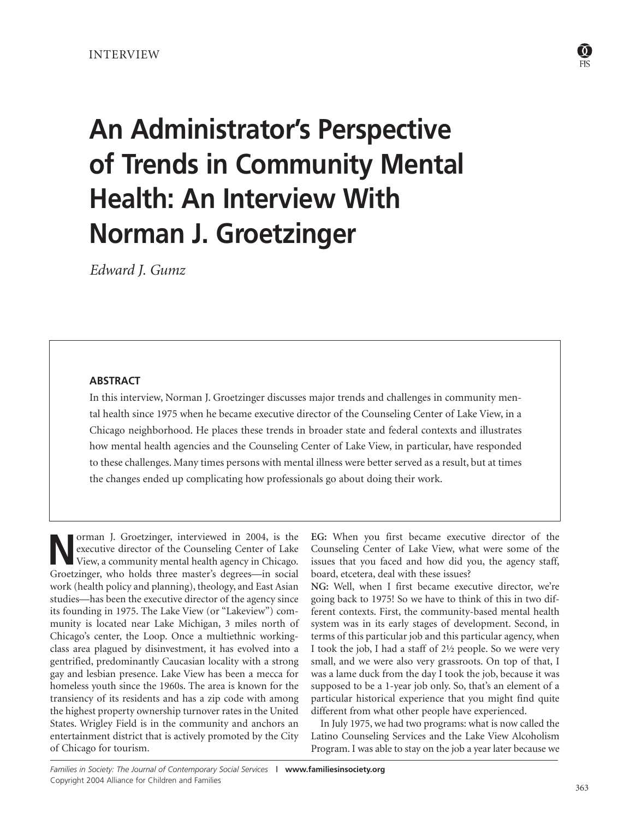#### INTERVIEW

# **An Administrator's Perspective of Trends in Community Mental Health: An Interview With Norman J. Groetzinger**

*Edward J. Gumz*

#### **ABSTRACT**

In this interview, Norman J. Groetzinger discusses major trends and challenges in community mental health since 1975 when he became executive director of the Counseling Center of Lake View, in a Chicago neighborhood. He places these trends in broader state and federal contexts and illustrates how mental health agencies and the Counseling Center of Lake View, in particular, have responded to these challenges. Many times persons with mental illness were better served as a result, but at times the changes ended up complicating how professionals go about doing their work.

**Norman J.** Groetzinger, interviewed in 2004, is the executive director of the Counseling Center of Lake View, a community mental health agency in Chicago. executive director of the Counseling Center of Lake Groetzinger, who holds three master's degrees—in social work (health policy and planning), theology, and East Asian studies—has been the executive director of the agency since its founding in 1975. The Lake View (or "Lakeview") community is located near Lake Michigan, 3 miles north of Chicago's center, the Loop. Once a multiethnic workingclass area plagued by disinvestment, it has evolved into a gentrified, predominantly Caucasian locality with a strong gay and lesbian presence. Lake View has been a mecca for homeless youth since the 1960s. The area is known for the transiency of its residents and has a zip code with among the highest property ownership turnover rates in the United States. Wrigley Field is in the community and anchors an entertainment district that is actively promoted by the City of Chicago for tourism.

**EG:** When you first became executive director of the Counseling Center of Lake View, what were some of the issues that you faced and how did you, the agency staff, board, etcetera, deal with these issues?

**NG:** Well, when I first became executive director, we're going back to 1975! So we have to think of this in two different contexts. First, the community-based mental health system was in its early stages of development. Second, in terms of this particular job and this particular agency, when I took the job, I had a staff of 2½ people. So we were very small, and we were also very grassroots. On top of that, I was a lame duck from the day I took the job, because it was supposed to be a 1-year job only. So, that's an element of a particular historical experience that you might find quite different from what other people have experienced.

In July 1975, we had two programs: what is now called the Latino Counseling Services and the Lake View Alcoholism Program. I was able to stay on the job a year later because we

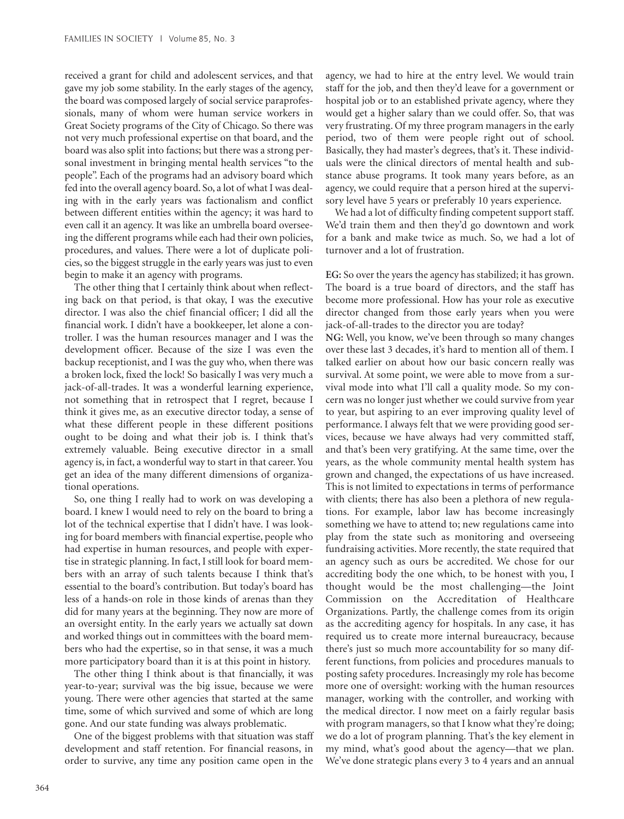received a grant for child and adolescent services, and that gave my job some stability. In the early stages of the agency, the board was composed largely of social service paraprofessionals, many of whom were human service workers in Great Society programs of the City of Chicago. So there was not very much professional expertise on that board, and the board was also split into factions; but there was a strong personal investment in bringing mental health services "to the people". Each of the programs had an advisory board which fed into the overall agency board. So, a lot of what I was dealing with in the early years was factionalism and conflict between different entities within the agency; it was hard to even call it an agency. It was like an umbrella board overseeing the different programs while each had their own policies, procedures, and values. There were a lot of duplicate policies, so the biggest struggle in the early years was just to even begin to make it an agency with programs.

The other thing that I certainly think about when reflecting back on that period, is that okay, I was the executive director. I was also the chief financial officer; I did all the financial work. I didn't have a bookkeeper, let alone a controller. I was the human resources manager and I was the development officer. Because of the size I was even the backup receptionist, and I was the guy who, when there was a broken lock, fixed the lock! So basically I was very much a jack-of-all-trades. It was a wonderful learning experience, not something that in retrospect that I regret, because I think it gives me, as an executive director today, a sense of what these different people in these different positions ought to be doing and what their job is. I think that's extremely valuable. Being executive director in a small agency is, in fact, a wonderful way to start in that career. You get an idea of the many different dimensions of organizational operations.

So, one thing I really had to work on was developing a board. I knew I would need to rely on the board to bring a lot of the technical expertise that I didn't have. I was looking for board members with financial expertise, people who had expertise in human resources, and people with expertise in strategic planning. In fact, I still look for board members with an array of such talents because I think that's essential to the board's contribution. But today's board has less of a hands-on role in those kinds of arenas than they did for many years at the beginning. They now are more of an oversight entity. In the early years we actually sat down and worked things out in committees with the board members who had the expertise, so in that sense, it was a much more participatory board than it is at this point in history.

The other thing I think about is that financially, it was year-to-year; survival was the big issue, because we were young. There were other agencies that started at the same time, some of which survived and some of which are long gone. And our state funding was always problematic.

One of the biggest problems with that situation was staff development and staff retention. For financial reasons, in order to survive, any time any position came open in the

agency, we had to hire at the entry level. We would train staff for the job, and then they'd leave for a government or hospital job or to an established private agency, where they would get a higher salary than we could offer. So, that was very frustrating. Of my three program managers in the early period, two of them were people right out of school. Basically, they had master's degrees, that's it. These individuals were the clinical directors of mental health and substance abuse programs. It took many years before, as an agency, we could require that a person hired at the supervisory level have 5 years or preferably 10 years experience.

We had a lot of difficulty finding competent support staff. We'd train them and then they'd go downtown and work for a bank and make twice as much. So, we had a lot of turnover and a lot of frustration.

**EG:** So over the years the agency has stabilized; it has grown. The board is a true board of directors, and the staff has become more professional. How has your role as executive director changed from those early years when you were jack-of-all-trades to the director you are today? **NG:** Well, you know, we've been through so many changes over these last 3 decades, it's hard to mention all of them. I talked earlier on about how our basic concern really was survival. At some point, we were able to move from a survival mode into what I'll call a quality mode. So my concern was no longer just whether we could survive from year to year, but aspiring to an ever improving quality level of performance. I always felt that we were providing good services, because we have always had very committed staff, and that's been very gratifying. At the same time, over the years, as the whole community mental health system has grown and changed, the expectations of us have increased. This is not limited to expectations in terms of performance with clients; there has also been a plethora of new regulations. For example, labor law has become increasingly something we have to attend to; new regulations came into play from the state such as monitoring and overseeing fundraising activities. More recently, the state required that an agency such as ours be accredited. We chose for our accrediting body the one which, to be honest with you, I thought would be the most challenging—the Joint Commission on the Accreditation of Healthcare Organizations. Partly, the challenge comes from its origin as the accrediting agency for hospitals. In any case, it has required us to create more internal bureaucracy, because there's just so much more accountability for so many different functions, from policies and procedures manuals to posting safety procedures. Increasingly my role has become more one of oversight: working with the human resources manager, working with the controller, and working with the medical director. I now meet on a fairly regular basis with program managers, so that I know what they're doing; we do a lot of program planning. That's the key element in my mind, what's good about the agency—that we plan. We've done strategic plans every 3 to 4 years and an annual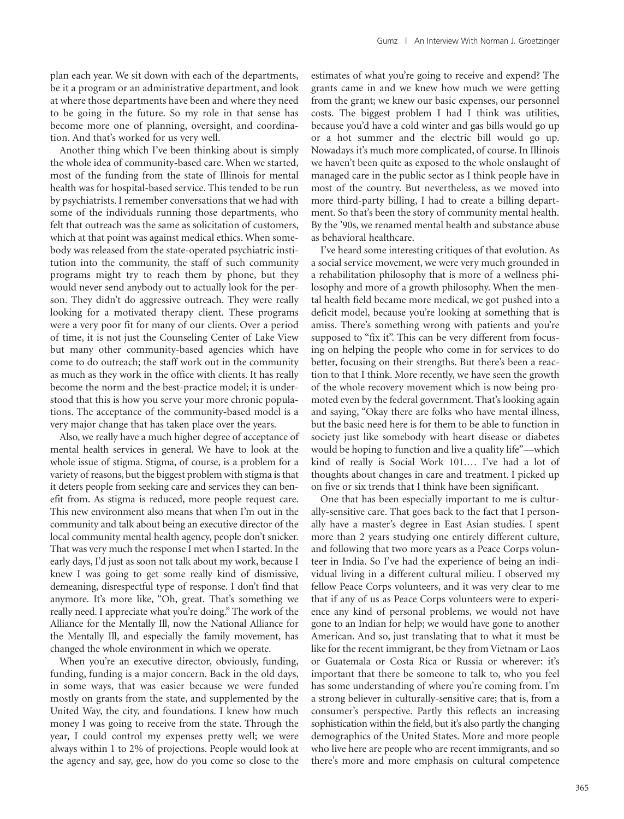plan each year. We sit down with each of the departments, be it a program or an administrative department, and look at where those departments have been and where they need to be going in the future. So my role in that sense has become more one of planning, oversight, and coordination. And that's worked for us very well.

Another thing which I've been thinking about is simply the whole idea of community-based care. When we started, most of the funding from the state of Illinois for mental health was for hospital-based service. This tended to be run by psychiatrists. I remember conversations that we had with some of the individuals running those departments, who felt that outreach was the same as solicitation of customers, which at that point was against medical ethics. When somebody was released from the state-operated psychiatric institution into the community, the staff of such community programs might try to reach them by phone, but they would never send anybody out to actually look for the person. They didn't do aggressive outreach. They were really looking for a motivated therapy client. These programs were a very poor fit for many of our clients. Over a period of time, it is not just the Counseling Center of Lake View but many other community-based agencies which have come to do outreach; the staff work out in the community as much as they work in the office with clients. It has really become the norm and the best-practice model; it is understood that this is how you serve your more chronic populations. The acceptance of the community-based model is a very major change that has taken place over the years.

Also, we really have a much higher degree of acceptance of mental health services in general. We have to look at the whole issue of stigma. Stigma, of course, is a problem for a variety of reasons, but the biggest problem with stigma is that it deters people from seeking care and services they can benefit from. As stigma is reduced, more people request care. This new environment also means that when I'm out in the community and talk about being an executive director of the local community mental health agency, people don't snicker. That was very much the response I met when I started. In the early days, I'd just as soon not talk about my work, because I knew I was going to get some really kind of dismissive, demeaning, disrespectful type of response. I don't find that anymore. It's more like, "Oh, great. That's something we really need. I appreciate what you're doing." The work of the Alliance for the Mentally Ill, now the National Alliance for the Mentally Ill, and especially the family movement, has changed the whole environment in which we operate.

When you're an executive director, obviously, funding, funding, funding is a major concern. Back in the old days, in some ways, that was easier because we were funded mostly on grants from the state, and supplemented by the United Way, the city, and foundations. I knew how much money I was going to receive from the state. Through the year, I could control my expenses pretty well; we were always within 1 to 2% of projections. People would look at the agency and say, gee, how do you come so close to the estimates of what you're going to receive and expend? The grants came in and we knew how much we were getting from the grant; we knew our basic expenses, our personnel costs. The biggest problem I had I think was utilities, because you'd have a cold winter and gas bills would go up or a hot summer and the electric bill would go up. Nowadays it's much more complicated, of course. In Illinois we haven't been quite as exposed to the whole onslaught of managed care in the public sector as I think people have in most of the country. But nevertheless, as we moved into more third-party billing, I had to create a billing department. So that's been the story of community mental health. By the '90s, we renamed mental health and substance abuse as behavioral healthcare.

I've heard some interesting critiques of that evolution. As a social service movement, we were very much grounded in a rehabilitation philosophy that is more of a wellness philosophy and more of a growth philosophy. When the mental health field became more medical, we got pushed into a deficit model, because you're looking at something that is amiss. There's something wrong with patients and you're supposed to "fix it". This can be very different from focusing on helping the people who come in for services to do better, focusing on their strengths. But there's been a reaction to that I think. More recently, we have seen the growth of the whole recovery movement which is now being promoted even by the federal government. That's looking again and saying, "Okay there are folks who have mental illness, but the basic need here is for them to be able to function in society just like somebody with heart disease or diabetes would be hoping to function and live a quality life"—which kind of really is Social Work 101.… I've had a lot of thoughts about changes in care and treatment. I picked up on five or six trends that I think have been significant.

One that has been especially important to me is culturally-sensitive care. That goes back to the fact that I personally have a master's degree in East Asian studies. I spent more than 2 years studying one entirely different culture, and following that two more years as a Peace Corps volunteer in India. So I've had the experience of being an individual living in a different cultural milieu. I observed my fellow Peace Corps volunteers, and it was very clear to me that if any of us as Peace Corps volunteers were to experience any kind of personal problems, we would not have gone to an Indian for help; we would have gone to another American. And so, just translating that to what it must be like for the recent immigrant, be they from Vietnam or Laos or Guatemala or Costa Rica or Russia or wherever: it's important that there be someone to talk to, who you feel has some understanding of where you're coming from. I'm a strong believer in culturally-sensitive care; that is, from a consumer's perspective. Partly this reflects an increasing sophistication within the field, but it's also partly the changing demographics of the United States. More and more people who live here are people who are recent immigrants, and so there's more and more emphasis on cultural competence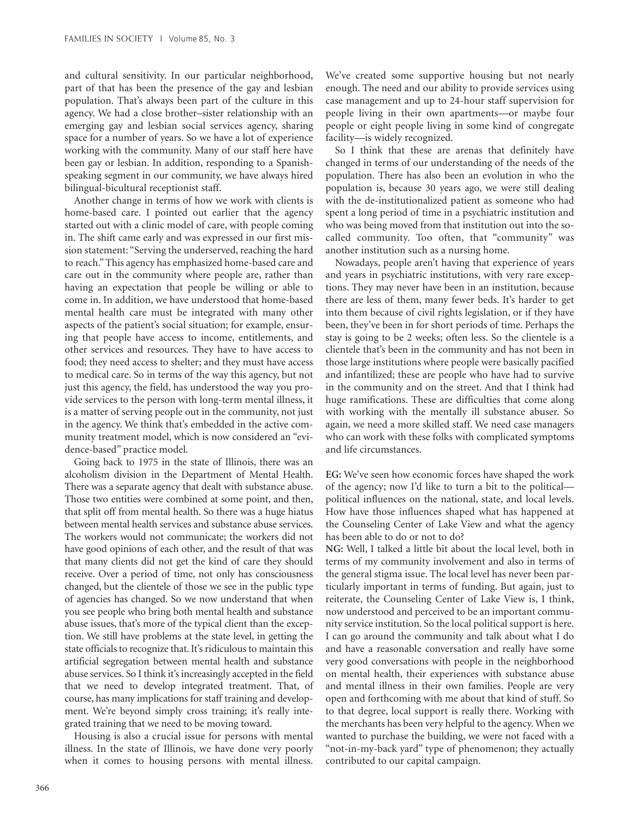and cultural sensitivity. In our particular neighborhood, part of that has been the presence of the gay and lesbian population. That's always been part of the culture in this agency. We had a close brother–sister relationship with an emerging gay and lesbian social services agency, sharing space for a number of years. So we have a lot of experience working with the community. Many of our staff here have been gay or lesbian. In addition, responding to a Spanishspeaking segment in our community, we have always hired bilingual-bicultural receptionist staff.

Another change in terms of how we work with clients is home-based care. I pointed out earlier that the agency started out with a clinic model of care, with people coming in. The shift came early and was expressed in our first mission statement: "Serving the underserved, reaching the hard to reach." This agency has emphasized home-based care and care out in the community where people are, rather than having an expectation that people be willing or able to come in. In addition, we have understood that home-based mental health care must be integrated with many other aspects of the patient's social situation; for example, ensuring that people have access to income, entitlements, and other services and resources. They have to have access to food; they need access to shelter; and they must have access to medical care. So in terms of the way this agency, but not just this agency, the field, has understood the way you provide services to the person with long-term mental illness, it is a matter of serving people out in the community, not just in the agency. We think that's embedded in the active community treatment model, which is now considered an "evidence-based" practice model.

Going back to 1975 in the state of Illinois, there was an alcoholism division in the Department of Mental Health. There was a separate agency that dealt with substance abuse. Those two entities were combined at some point, and then, that split off from mental health. So there was a huge hiatus between mental health services and substance abuse services. The workers would not communicate; the workers did not have good opinions of each other, and the result of that was that many clients did not get the kind of care they should receive. Over a period of time, not only has consciousness changed, but the clientele of those we see in the public type of agencies has changed. So we now understand that when you see people who bring both mental health and substance abuse issues, that's more of the typical client than the exception. We still have problems at the state level, in getting the state officials to recognize that. It's ridiculous to maintain this artificial segregation between mental health and substance abuse services. So I think it's increasingly accepted in the field that we need to develop integrated treatment. That, of course, has many implications for staff training and development. We're beyond simply cross training; it's really integrated training that we need to be moving toward.

Housing is also a crucial issue for persons with mental illness. In the state of Illinois, we have done very poorly when it comes to housing persons with mental illness.

We've created some supportive housing but not nearly enough. The need and our ability to provide services using case management and up to 24-hour staff supervision for people living in their own apartments—or maybe four people or eight people living in some kind of congregate facility—is widely recognized.

So I think that these are arenas that definitely have changed in terms of our understanding of the needs of the population. There has also been an evolution in who the population is, because 30 years ago, we were still dealing with the de-institutionalized patient as someone who had spent a long period of time in a psychiatric institution and who was being moved from that institution out into the socalled community. Too often, that "community" was another institution such as a nursing home.

Nowadays, people aren't having that experience of years and years in psychiatric institutions, with very rare exceptions. They may never have been in an institution, because there are less of them, many fewer beds. It's harder to get into them because of civil rights legislation, or if they have been, they've been in for short periods of time. Perhaps the stay is going to be 2 weeks; often less. So the clientele is a clientele that's been in the community and has not been in those large institutions where people were basically pacified and infantilized; these are people who have had to survive in the community and on the street. And that I think had huge ramifications. These are difficulties that come along with working with the mentally ill substance abuser. So again, we need a more skilled staff. We need case managers who can work with these folks with complicated symptoms and life circumstances.

**EG:** We've seen how economic forces have shaped the work of the agency; now I'd like to turn a bit to the political political influences on the national, state, and local levels. How have those influences shaped what has happened at the Counseling Center of Lake View and what the agency has been able to do or not to do?

**NG:** Well, I talked a little bit about the local level, both in terms of my community involvement and also in terms of the general stigma issue. The local level has never been particularly important in terms of funding. But again, just to reiterate, the Counseling Center of Lake View is, I think, now understood and perceived to be an important community service institution. So the local political support is here. I can go around the community and talk about what I do and have a reasonable conversation and really have some very good conversations with people in the neighborhood on mental health, their experiences with substance abuse and mental illness in their own families. People are very open and forthcoming with me about that kind of stuff. So to that degree, local support is really there. Working with the merchants has been very helpful to the agency. When we wanted to purchase the building, we were not faced with a "not-in-my-back yard" type of phenomenon; they actually contributed to our capital campaign.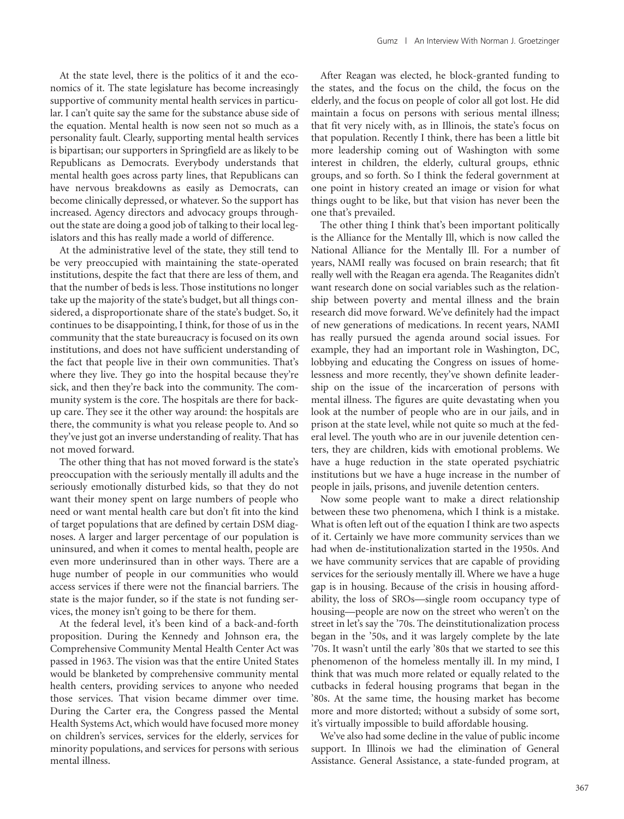At the state level, there is the politics of it and the economics of it. The state legislature has become increasingly supportive of community mental health services in particular. I can't quite say the same for the substance abuse side of the equation. Mental health is now seen not so much as a personality fault. Clearly, supporting mental health services is bipartisan; our supporters in Springfield are as likely to be Republicans as Democrats. Everybody understands that mental health goes across party lines, that Republicans can have nervous breakdowns as easily as Democrats, can become clinically depressed, or whatever. So the support has increased. Agency directors and advocacy groups throughout the state are doing a good job of talking to their local legislators and this has really made a world of difference.

At the administrative level of the state, they still tend to be very preoccupied with maintaining the state-operated institutions, despite the fact that there are less of them, and that the number of beds is less. Those institutions no longer take up the majority of the state's budget, but all things considered, a disproportionate share of the state's budget. So, it continues to be disappointing, I think, for those of us in the community that the state bureaucracy is focused on its own institutions, and does not have sufficient understanding of the fact that people live in their own communities. That's where they live. They go into the hospital because they're sick, and then they're back into the community. The community system is the core. The hospitals are there for backup care. They see it the other way around: the hospitals are there, the community is what you release people to. And so they've just got an inverse understanding of reality. That has not moved forward.

The other thing that has not moved forward is the state's preoccupation with the seriously mentally ill adults and the seriously emotionally disturbed kids, so that they do not want their money spent on large numbers of people who need or want mental health care but don't fit into the kind of target populations that are defined by certain DSM diagnoses. A larger and larger percentage of our population is uninsured, and when it comes to mental health, people are even more underinsured than in other ways. There are a huge number of people in our communities who would access services if there were not the financial barriers. The state is the major funder, so if the state is not funding services, the money isn't going to be there for them.

At the federal level, it's been kind of a back-and-forth proposition. During the Kennedy and Johnson era, the Comprehensive Community Mental Health Center Act was passed in 1963. The vision was that the entire United States would be blanketed by comprehensive community mental health centers, providing services to anyone who needed those services. That vision became dimmer over time. During the Carter era, the Congress passed the Mental Health Systems Act, which would have focused more money on children's services, services for the elderly, services for minority populations, and services for persons with serious mental illness.

After Reagan was elected, he block-granted funding to the states, and the focus on the child, the focus on the elderly, and the focus on people of color all got lost. He did maintain a focus on persons with serious mental illness; that fit very nicely with, as in Illinois, the state's focus on that population. Recently I think, there has been a little bit more leadership coming out of Washington with some interest in children, the elderly, cultural groups, ethnic groups, and so forth. So I think the federal government at one point in history created an image or vision for what things ought to be like, but that vision has never been the one that's prevailed.

The other thing I think that's been important politically is the Alliance for the Mentally Ill, which is now called the National Alliance for the Mentally Ill. For a number of years, NAMI really was focused on brain research; that fit really well with the Reagan era agenda. The Reaganites didn't want research done on social variables such as the relationship between poverty and mental illness and the brain research did move forward. We've definitely had the impact of new generations of medications. In recent years, NAMI has really pursued the agenda around social issues. For example, they had an important role in Washington, DC, lobbying and educating the Congress on issues of homelessness and more recently, they've shown definite leadership on the issue of the incarceration of persons with mental illness. The figures are quite devastating when you look at the number of people who are in our jails, and in prison at the state level, while not quite so much at the federal level. The youth who are in our juvenile detention centers, they are children, kids with emotional problems. We have a huge reduction in the state operated psychiatric institutions but we have a huge increase in the number of people in jails, prisons, and juvenile detention centers.

Now some people want to make a direct relationship between these two phenomena, which I think is a mistake. What is often left out of the equation I think are two aspects of it. Certainly we have more community services than we had when de-institutionalization started in the 1950s. And we have community services that are capable of providing services for the seriously mentally ill. Where we have a huge gap is in housing. Because of the crisis in housing affordability, the loss of SROs—single room occupancy type of housing—people are now on the street who weren't on the street in let's say the '70s. The deinstitutionalization process began in the '50s, and it was largely complete by the late '70s. It wasn't until the early '80s that we started to see this phenomenon of the homeless mentally ill. In my mind, I think that was much more related or equally related to the cutbacks in federal housing programs that began in the '80s. At the same time, the housing market has become more and more distorted; without a subsidy of some sort, it's virtually impossible to build affordable housing.

We've also had some decline in the value of public income support. In Illinois we had the elimination of General Assistance. General Assistance, a state-funded program, at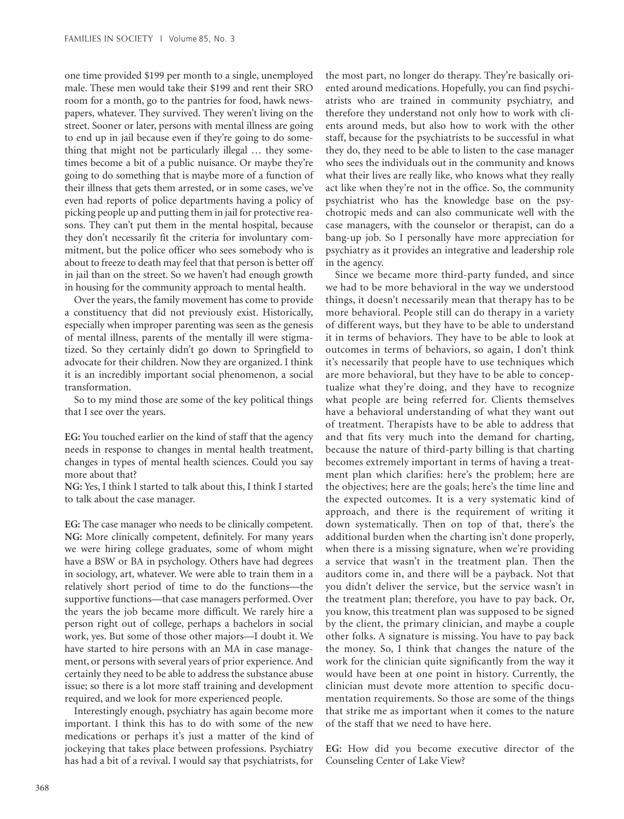one time provided \$199 per month to a single, unemployed male. These men would take their \$199 and rent their SRO room for a month, go to the pantries for food, hawk newspapers, whatever. They survived. They weren't living on the street. Sooner or later, persons with mental illness are going to end up in jail because even if they're going to do something that might not be particularly illegal … they sometimes become a bit of a public nuisance. Or maybe they're going to do something that is maybe more of a function of their illness that gets them arrested, or in some cases, we've even had reports of police departments having a policy of picking people up and putting them in jail for protective reasons. They can't put them in the mental hospital, because they don't necessarily fit the criteria for involuntary commitment, but the police officer who sees somebody who is about to freeze to death may feel that that person is better off in jail than on the street. So we haven't had enough growth in housing for the community approach to mental health.

Over the years, the family movement has come to provide a constituency that did not previously exist. Historically, especially when improper parenting was seen as the genesis of mental illness, parents of the mentally ill were stigmatized. So they certainly didn't go down to Springfield to advocate for their children. Now they are organized. I think it is an incredibly important social phenomenon, a social transformation.

So to my mind those are some of the key political things that I see over the years.

**EG:** You touched earlier on the kind of staff that the agency needs in response to changes in mental health treatment, changes in types of mental health sciences. Could you say more about that?

**NG:** Yes, I think I started to talk about this, I think I started to talk about the case manager.

**EG:** The case manager who needs to be clinically competent. **NG:** More clinically competent, definitely. For many years we were hiring college graduates, some of whom might have a BSW or BA in psychology. Others have had degrees in sociology, art, whatever. We were able to train them in a relatively short period of time to do the functions—the supportive functions—that case managers performed. Over the years the job became more difficult. We rarely hire a person right out of college, perhaps a bachelors in social work, yes. But some of those other majors—I doubt it. We have started to hire persons with an MA in case management, or persons with several years of prior experience. And certainly they need to be able to address the substance abuse issue; so there is a lot more staff training and development required, and we look for more experienced people.

Interestingly enough, psychiatry has again become more important. I think this has to do with some of the new medications or perhaps it's just a matter of the kind of jockeying that takes place between professions. Psychiatry has had a bit of a revival. I would say that psychiatrists, for

the most part, no longer do therapy. They're basically oriented around medications. Hopefully, you can find psychiatrists who are trained in community psychiatry, and therefore they understand not only how to work with clients around meds, but also how to work with the other staff, because for the psychiatrists to be successful in what they do, they need to be able to listen to the case manager who sees the individuals out in the community and knows what their lives are really like, who knows what they really act like when they're not in the office. So, the community psychiatrist who has the knowledge base on the psychotropic meds and can also communicate well with the case managers, with the counselor or therapist, can do a bang-up job. So I personally have more appreciation for psychiatry as it provides an integrative and leadership role in the agency.

Since we became more third-party funded, and since we had to be more behavioral in the way we understood things, it doesn't necessarily mean that therapy has to be more behavioral. People still can do therapy in a variety of different ways, but they have to be able to understand it in terms of behaviors. They have to be able to look at outcomes in terms of behaviors, so again, I don't think it's necessarily that people have to use techniques which are more behavioral, but they have to be able to conceptualize what they're doing, and they have to recognize what people are being referred for. Clients themselves have a behavioral understanding of what they want out of treatment. Therapists have to be able to address that and that fits very much into the demand for charting, because the nature of third-party billing is that charting becomes extremely important in terms of having a treatment plan which clarifies: here's the problem; here are the objectives; here are the goals; here's the time line and the expected outcomes. It is a very systematic kind of approach, and there is the requirement of writing it down systematically. Then on top of that, there's the additional burden when the charting isn't done properly, when there is a missing signature, when we're providing a service that wasn't in the treatment plan. Then the auditors come in, and there will be a payback. Not that you didn't deliver the service, but the service wasn't in the treatment plan; therefore, you have to pay back. Or, you know, this treatment plan was supposed to be signed by the client, the primary clinician, and maybe a couple other folks. A signature is missing. You have to pay back the money. So, I think that changes the nature of the work for the clinician quite significantly from the way it would have been at one point in history. Currently, the clinician must devote more attention to specific documentation requirements. So those are some of the things that strike me as important when it comes to the nature of the staff that we need to have here.

**EG:** How did you become executive director of the Counseling Center of Lake View?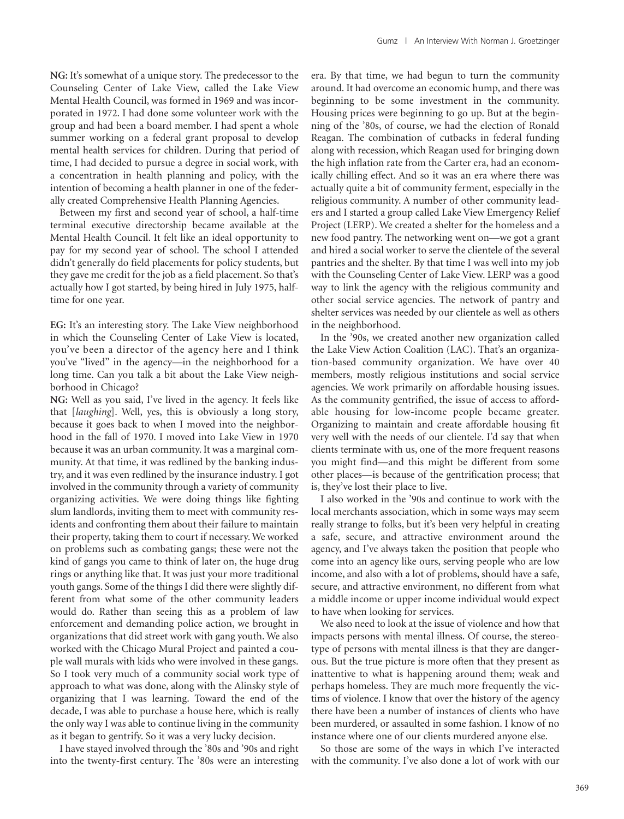**NG:** It's somewhat of a unique story. The predecessor to the Counseling Center of Lake View, called the Lake View Mental Health Council, was formed in 1969 and was incorporated in 1972. I had done some volunteer work with the group and had been a board member. I had spent a whole summer working on a federal grant proposal to develop mental health services for children. During that period of time, I had decided to pursue a degree in social work, with a concentration in health planning and policy, with the intention of becoming a health planner in one of the federally created Comprehensive Health Planning Agencies.

Between my first and second year of school, a half-time terminal executive directorship became available at the Mental Health Council. It felt like an ideal opportunity to pay for my second year of school. The school I attended didn't generally do field placements for policy students, but they gave me credit for the job as a field placement. So that's actually how I got started, by being hired in July 1975, halftime for one year.

**EG:** It's an interesting story. The Lake View neighborhood in which the Counseling Center of Lake View is located, you've been a director of the agency here and I think you've "lived" in the agency—in the neighborhood for a long time. Can you talk a bit about the Lake View neighborhood in Chicago?

**NG:** Well as you said, I've lived in the agency. It feels like that [*laughing*]. Well, yes, this is obviously a long story, because it goes back to when I moved into the neighborhood in the fall of 1970. I moved into Lake View in 1970 because it was an urban community. It was a marginal community. At that time, it was redlined by the banking industry, and it was even redlined by the insurance industry. I got involved in the community through a variety of community organizing activities. We were doing things like fighting slum landlords, inviting them to meet with community residents and confronting them about their failure to maintain their property, taking them to court if necessary. We worked on problems such as combating gangs; these were not the kind of gangs you came to think of later on, the huge drug rings or anything like that. It was just your more traditional youth gangs. Some of the things I did there were slightly different from what some of the other community leaders would do. Rather than seeing this as a problem of law enforcement and demanding police action, we brought in organizations that did street work with gang youth. We also worked with the Chicago Mural Project and painted a couple wall murals with kids who were involved in these gangs. So I took very much of a community social work type of approach to what was done, along with the Alinsky style of organizing that I was learning. Toward the end of the decade, I was able to purchase a house here, which is really the only way I was able to continue living in the community as it began to gentrify. So it was a very lucky decision.

I have stayed involved through the '80s and '90s and right into the twenty-first century. The '80s were an interesting era. By that time, we had begun to turn the community around. It had overcome an economic hump, and there was beginning to be some investment in the community. Housing prices were beginning to go up. But at the beginning of the '80s, of course, we had the election of Ronald Reagan. The combination of cutbacks in federal funding along with recession, which Reagan used for bringing down the high inflation rate from the Carter era, had an economically chilling effect. And so it was an era where there was actually quite a bit of community ferment, especially in the religious community. A number of other community leaders and I started a group called Lake View Emergency Relief Project (LERP). We created a shelter for the homeless and a new food pantry. The networking went on—we got a grant and hired a social worker to serve the clientele of the several pantries and the shelter. By that time I was well into my job with the Counseling Center of Lake View. LERP was a good way to link the agency with the religious community and other social service agencies. The network of pantry and shelter services was needed by our clientele as well as others in the neighborhood.

In the '90s, we created another new organization called the Lake View Action Coalition (LAC). That's an organization-based community organization. We have over 40 members, mostly religious institutions and social service agencies. We work primarily on affordable housing issues. As the community gentrified, the issue of access to affordable housing for low-income people became greater. Organizing to maintain and create affordable housing fit very well with the needs of our clientele. I'd say that when clients terminate with us, one of the more frequent reasons you might find—and this might be different from some other places—is because of the gentrification process; that is, they've lost their place to live.

I also worked in the '90s and continue to work with the local merchants association, which in some ways may seem really strange to folks, but it's been very helpful in creating a safe, secure, and attractive environment around the agency, and I've always taken the position that people who come into an agency like ours, serving people who are low income, and also with a lot of problems, should have a safe, secure, and attractive environment, no different from what a middle income or upper income individual would expect to have when looking for services.

We also need to look at the issue of violence and how that impacts persons with mental illness. Of course, the stereotype of persons with mental illness is that they are dangerous. But the true picture is more often that they present as inattentive to what is happening around them; weak and perhaps homeless. They are much more frequently the victims of violence. I know that over the history of the agency there have been a number of instances of clients who have been murdered, or assaulted in some fashion. I know of no instance where one of our clients murdered anyone else.

So those are some of the ways in which I've interacted with the community. I've also done a lot of work with our